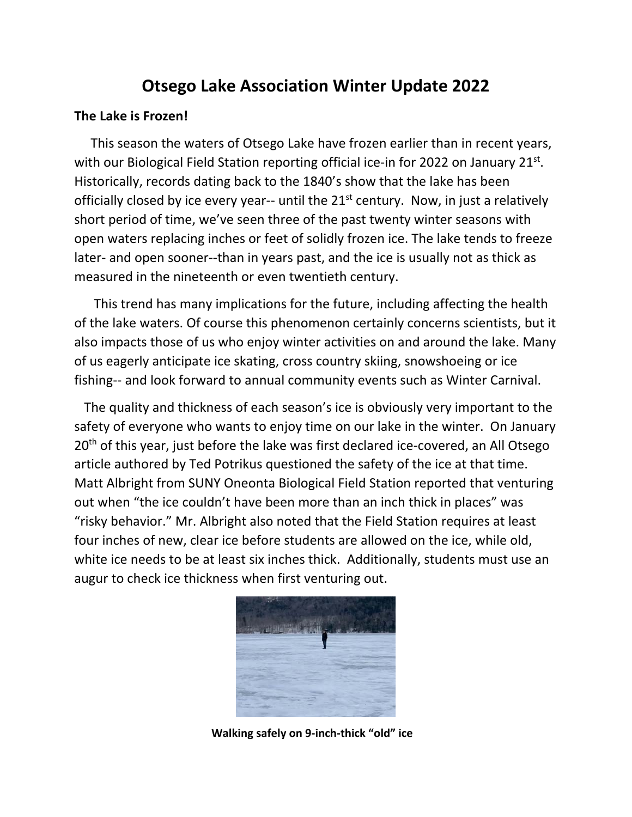# **Otsego Lake Association Winter Update 2022**

### **The Lake is Frozen!**

This season the waters of Otsego Lake have frozen earlier than in recent years, with our Biological Field Station reporting official ice-in for 2022 on January 21<sup>st</sup>. Historically, records dating back to the 1840's show that the lake has been officially closed by ice every year-- until the  $21<sup>st</sup>$  century. Now, in just a relatively short period of time, we've seen three of the past twenty winter seasons with open waters replacing inches or feet of solidly frozen ice. The lake tends to freeze later- and open sooner--than in years past, and the ice is usually not as thick as measured in the nineteenth or even twentieth century.

 This trend has many implications for the future, including affecting the health of the lake waters. Of course this phenomenon certainly concerns scientists, but it also impacts those of us who enjoy winter activities on and around the lake. Many of us eagerly anticipate ice skating, cross country skiing, snowshoeing or ice fishing‐‐ and look forward to annual community events such as Winter Carnival.

 The quality and thickness of each season's ice is obviously very important to the safety of everyone who wants to enjoy time on our lake in the winter. On January 20<sup>th</sup> of this year, just before the lake was first declared ice-covered, an All Otsego article authored by Ted Potrikus questioned the safety of the ice at that time. Matt Albright from SUNY Oneonta Biological Field Station reported that venturing out when "the ice couldn't have been more than an inch thick in places" was "risky behavior." Mr. Albright also noted that the Field Station requires at least four inches of new, clear ice before students are allowed on the ice, while old, white ice needs to be at least six inches thick. Additionally, students must use an augur to check ice thickness when first venturing out.



 **Walking safely on 9‐inch‐thick "old" ice**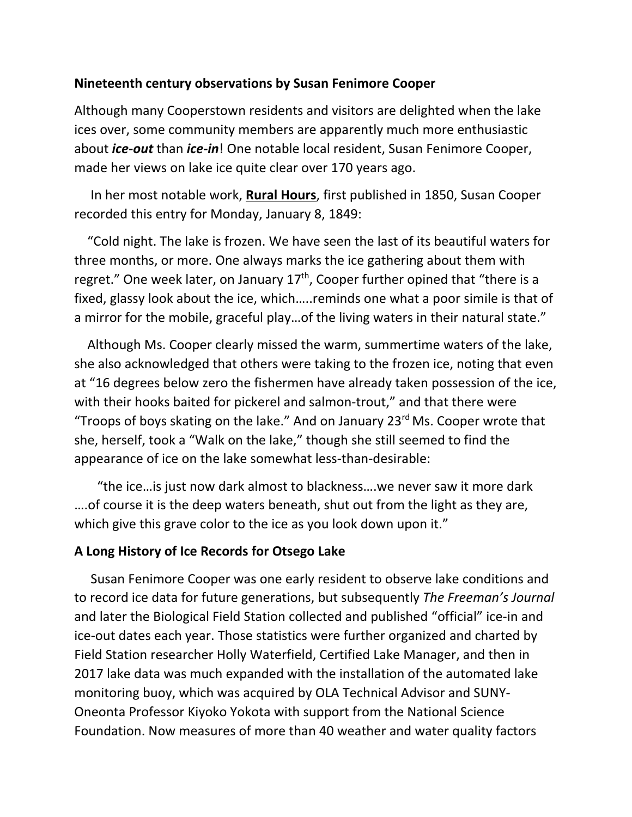# **Nineteenth century observations by Susan Fenimore Cooper**

Although many Cooperstown residents and visitors are delighted when the lake ices over, some community members are apparently much more enthusiastic about *ice‐out* than *ice‐in*! One notable local resident, Susan Fenimore Cooper, made her views on lake ice quite clear over 170 years ago.

 In her most notable work, **Rural Hours**, first published in 1850, Susan Cooper recorded this entry for Monday, January 8, 1849:

 "Cold night. The lake is frozen. We have seen the last of its beautiful waters for three months, or more. One always marks the ice gathering about them with regret." One week later, on January  $17<sup>th</sup>$ , Cooper further opined that "there is a fixed, glassy look about the ice, which…..reminds one what a poor simile is that of a mirror for the mobile, graceful play…of the living waters in their natural state."

 Although Ms. Cooper clearly missed the warm, summertime waters of the lake, she also acknowledged that others were taking to the frozen ice, noting that even at "16 degrees below zero the fishermen have already taken possession of the ice, with their hooks baited for pickerel and salmon-trout," and that there were "Troops of boys skating on the lake." And on January  $23<sup>rd</sup>$  Ms. Cooper wrote that she, herself, took a "Walk on the lake," though she still seemed to find the appearance of ice on the lake somewhat less-than-desirable:

 "the ice…is just now dark almost to blackness….we never saw it more dark ….of course it is the deep waters beneath, shut out from the light as they are, which give this grave color to the ice as you look down upon it."

# **A Long History of Ice Records for Otsego Lake**

 Susan Fenimore Cooper was one early resident to observe lake conditions and to record ice data for future generations, but subsequently *The Freeman's Journal* and later the Biological Field Station collected and published "official" ice‐in and ice‐out dates each year. Those statistics were further organized and charted by Field Station researcher Holly Waterfield, Certified Lake Manager, and then in 2017 lake data was much expanded with the installation of the automated lake monitoring buoy, which was acquired by OLA Technical Advisor and SUNY‐ Oneonta Professor Kiyoko Yokota with support from the National Science Foundation. Now measures of more than 40 weather and water quality factors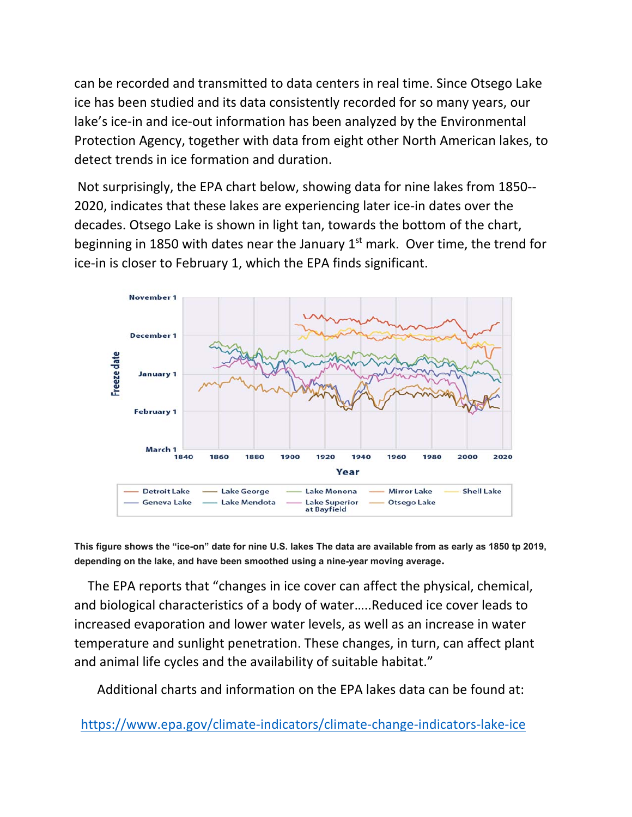can be recorded and transmitted to data centers in real time. Since Otsego Lake ice has been studied and its data consistently recorded for so many years, our lake's ice-in and ice-out information has been analyzed by the Environmental Protection Agency, together with data from eight other North American lakes, to detect trends in ice formation and duration.

 Not surprisingly, the EPA chart below, showing data for nine lakes from 1850‐‐ 2020, indicates that these lakes are experiencing later ice‐in dates over the decades. Otsego Lake is shown in light tan, towards the bottom of the chart, beginning in 1850 with dates near the January  $1<sup>st</sup>$  mark. Over time, the trend for ice‐in is closer to February 1, which the EPA finds significant.



**This figure shows the "ice-on" date for nine U.S. lakes The data are available from as early as 1850 tp 2019, depending on the lake, and have been smoothed using a nine-year moving average.**

 The EPA reports that "changes in ice cover can affect the physical, chemical, and biological characteristics of a body of water…..Reduced ice cover leads to increased evaporation and lower water levels, as well as an increase in water temperature and sunlight penetration. These changes, in turn, can affect plant and animal life cycles and the availability of suitable habitat."

Additional charts and information on the EPA lakes data can be found at:

https://www.epa.gov/climate‐indicators/climate‐change‐indicators‐lake‐ice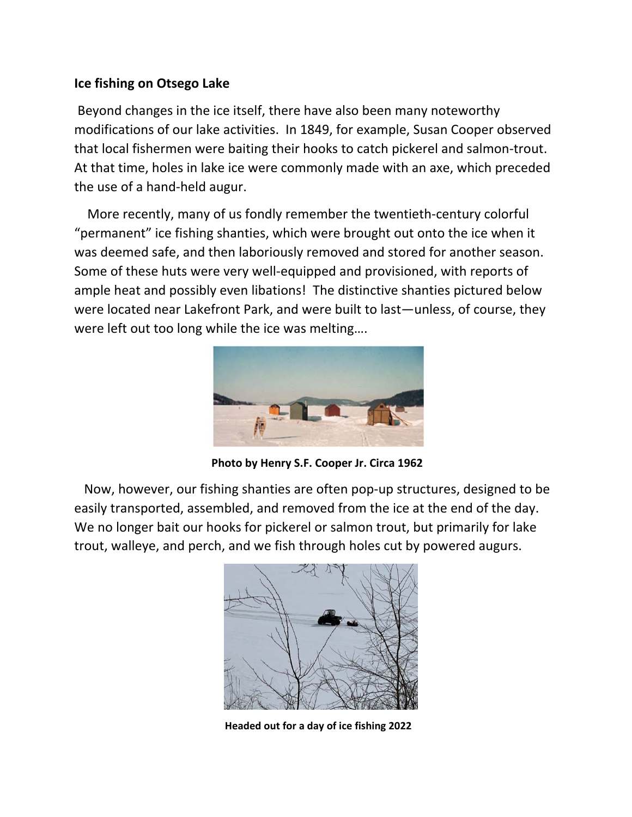# **Ice fishing on Otsego Lake**

 Beyond changes in the ice itself, there have also been many noteworthy modifications of our lake activities. In 1849, for example, Susan Cooper observed that local fishermen were baiting their hooks to catch pickerel and salmon‐trout. At that time, holes in lake ice were commonly made with an axe, which preceded the use of a hand‐held augur.

 More recently, many of us fondly remember the twentieth‐century colorful "permanent" ice fishing shanties, which were brought out onto the ice when it was deemed safe, and then laboriously removed and stored for another season. Some of these huts were very well‐equipped and provisioned, with reports of ample heat and possibly even libations! The distinctive shanties pictured below were located near Lakefront Park, and were built to last—unless, of course, they were left out too long while the ice was melting….



**Photo by Henry S.F. Cooper Jr. Circa 1962** 

 Now, however, our fishing shanties are often pop‐up structures, designed to be easily transported, assembled, and removed from the ice at the end of the day. We no longer bait our hooks for pickerel or salmon trout, but primarily for lake trout, walleye, and perch, and we fish through holes cut by powered augurs.



 **Headed out for a day of ice fishing 2022**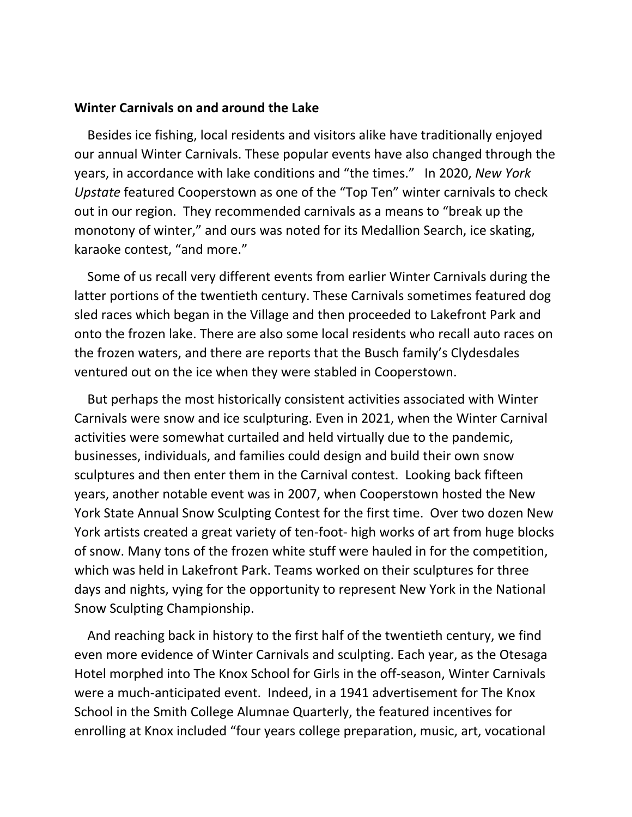#### **Winter Carnivals on and around the Lake**

 Besides ice fishing, local residents and visitors alike have traditionally enjoyed our annual Winter Carnivals. These popular events have also changed through the years, in accordance with lake conditions and "the times." In 2020, *New York Upstate* featured Cooperstown as one of the "Top Ten" winter carnivals to check out in our region. They recommended carnivals as a means to "break up the monotony of winter," and ours was noted for its Medallion Search, ice skating, karaoke contest, "and more."

 Some of us recall very different events from earlier Winter Carnivals during the latter portions of the twentieth century. These Carnivals sometimes featured dog sled races which began in the Village and then proceeded to Lakefront Park and onto the frozen lake. There are also some local residents who recall auto races on the frozen waters, and there are reports that the Busch family's Clydesdales ventured out on the ice when they were stabled in Cooperstown.

 But perhaps the most historically consistent activities associated with Winter Carnivals were snow and ice sculpturing. Even in 2021, when the Winter Carnival activities were somewhat curtailed and held virtually due to the pandemic, businesses, individuals, and families could design and build their own snow sculptures and then enter them in the Carnival contest. Looking back fifteen years, another notable event was in 2007, when Cooperstown hosted the New York State Annual Snow Sculpting Contest for the first time. Over two dozen New York artists created a great variety of ten-foot- high works of art from huge blocks of snow. Many tons of the frozen white stuff were hauled in for the competition, which was held in Lakefront Park. Teams worked on their sculptures for three days and nights, vying for the opportunity to represent New York in the National Snow Sculpting Championship.

 And reaching back in history to the first half of the twentieth century, we find even more evidence of Winter Carnivals and sculpting. Each year, as the Otesaga Hotel morphed into The Knox School for Girls in the off‐season, Winter Carnivals were a much-anticipated event. Indeed, in a 1941 advertisement for The Knox School in the Smith College Alumnae Quarterly, the featured incentives for enrolling at Knox included "four years college preparation, music, art, vocational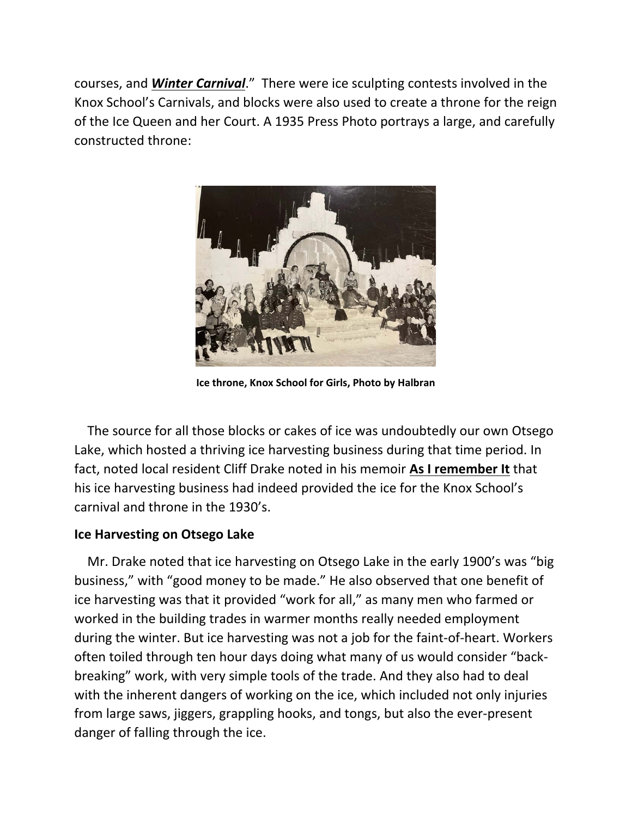courses, and *Winter Carnival*." There were ice sculpting contests involved in the Knox School's Carnivals, and blocks were also used to create a throne for the reign of the Ice Queen and her Court. A 1935 Press Photo portrays a large, and carefully constructed throne:



**Ice throne, Knox School for Girls, Photo by Halbran** 

 The source for all those blocks or cakes of ice was undoubtedly our own Otsego Lake, which hosted a thriving ice harvesting business during that time period. In fact, noted local resident Cliff Drake noted in his memoir **As I remember It** that his ice harvesting business had indeed provided the ice for the Knox School's carnival and throne in the 1930's.

# **Ice Harvesting on Otsego Lake**

 Mr. Drake noted that ice harvesting on Otsego Lake in the early 1900's was "big business," with "good money to be made." He also observed that one benefit of ice harvesting was that it provided "work for all," as many men who farmed or worked in the building trades in warmer months really needed employment during the winter. But ice harvesting was not a job for the faint‐of‐heart. Workers often toiled through ten hour days doing what many of us would consider "back‐ breaking" work, with very simple tools of the trade. And they also had to deal with the inherent dangers of working on the ice, which included not only injuries from large saws, jiggers, grappling hooks, and tongs, but also the ever‐present danger of falling through the ice.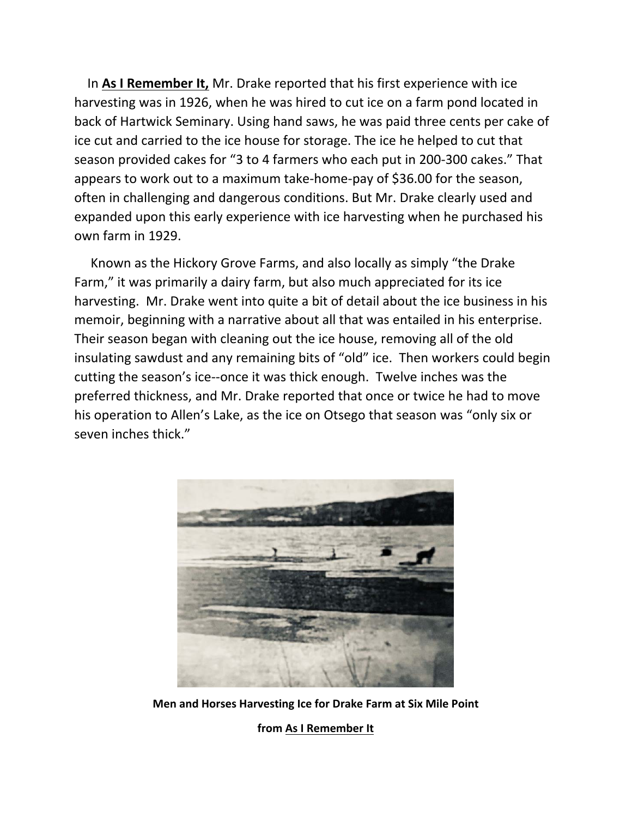In **As I Remember It,** Mr. Drake reported that his first experience with ice harvesting was in 1926, when he was hired to cut ice on a farm pond located in back of Hartwick Seminary. Using hand saws, he was paid three cents per cake of ice cut and carried to the ice house for storage. The ice he helped to cut that season provided cakes for "3 to 4 farmers who each put in 200‐300 cakes." That appears to work out to a maximum take‐home‐pay of \$36.00 for the season, often in challenging and dangerous conditions. But Mr. Drake clearly used and expanded upon this early experience with ice harvesting when he purchased his own farm in 1929.

 Known as the Hickory Grove Farms, and also locally as simply "the Drake Farm," it was primarily a dairy farm, but also much appreciated for its ice harvesting. Mr. Drake went into quite a bit of detail about the ice business in his memoir, beginning with a narrative about all that was entailed in his enterprise. Their season began with cleaning out the ice house, removing all of the old insulating sawdust and any remaining bits of "old" ice. Then workers could begin cutting the season's ice‐‐once it was thick enough. Twelve inches was the preferred thickness, and Mr. Drake reported that once or twice he had to move his operation to Allen's Lake, as the ice on Otsego that season was "only six or seven inches thick."



**Men and Horses Harvesting Ice for Drake Farm at Six Mile Point** 

**from As I Remember It**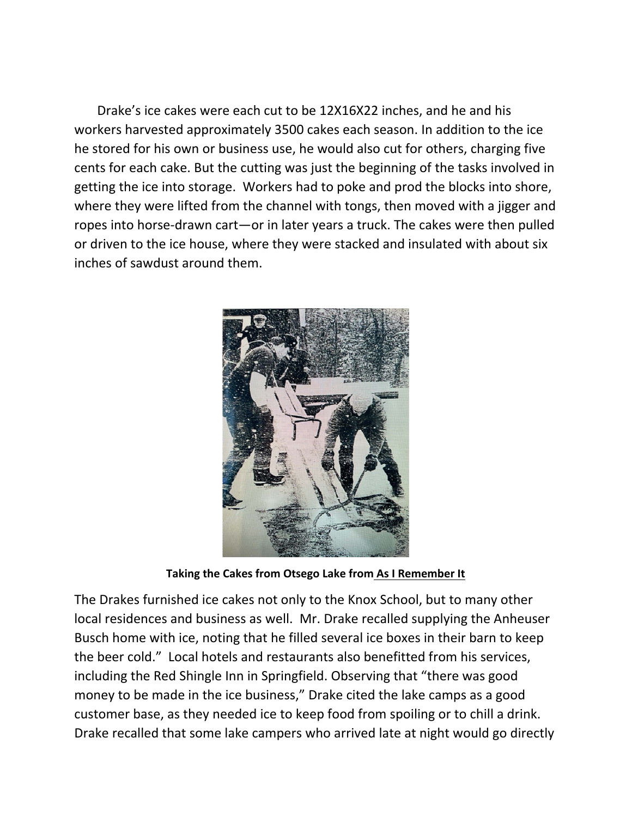Drake's ice cakes were each cut to be 12X16X22 inches, and he and his workers harvested approximately 3500 cakes each season. In addition to the ice he stored for his own or business use, he would also cut for others, charging five cents for each cake. But the cutting was just the beginning of the tasks involved in getting the ice into storage. Workers had to poke and prod the blocks into shore, where they were lifted from the channel with tongs, then moved with a jigger and ropes into horse-drawn cart—or in later years a truck. The cakes were then pulled or driven to the ice house, where they were stacked and insulated with about six inches of sawdust around them.



**Taking the Cakes from Otsego Lake from As I Remember It** 

The Drakes furnished ice cakes not only to the Knox School, but to many other local residences and business as well. Mr. Drake recalled supplying the Anheuser Busch home with ice, noting that he filled several ice boxes in their barn to keep the beer cold." Local hotels and restaurants also benefitted from his services, including the Red Shingle Inn in Springfield. Observing that "there was good money to be made in the ice business," Drake cited the lake camps as a good customer base, as they needed ice to keep food from spoiling or to chill a drink. Drake recalled that some lake campers who arrived late at night would go directly